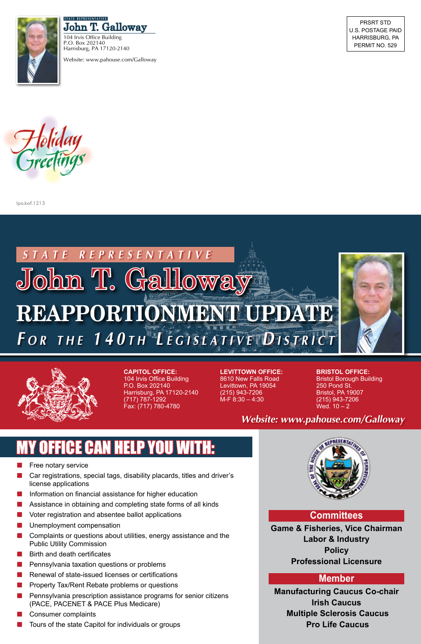

John T. Galloway **s t a t e r e p r e s e n t a t i v e**

104 Irvis Office Building P.O. Box 202140 Harrisburg, PA 17120-2140 Website: www.pahouse.com/Galloway

PRSRT STD U.S. Postage PAID Harrisburg, PA PERMIT NO. 529



lpo.kaf.1213





**Capitol Office:**  104 Irvis Office Building P.O. Box 202140 Harrisburg, PA 17120-2140 (717) 787-1292 Fax: (717) 780-4780

**Levittown Office:** 8610 New Falls Road Levittown, PA 19054 (215) 943-7206 M-F 8:30 – 4:30

**Bristol Office:**  Bristol Borough Building 250 Pond St. Bristol, PA 19007 (215) 943-7206 Wed.  $10 - 2$ 

*Website: www.pahouse.com/Galloway*

## MY OFFICE CAN HELP YOU WITH:

- Free notary service
- Car registrations, special tags, disability placards, titles and driver's license applications
- Information on financial assistance for higher education
- Assistance in obtaining and completing state forms of all kinds
- $\blacksquare$  Voter registration and absentee ballot applications
- **n** Unemployment compensation
- $\blacksquare$  Complaints or questions about utilities, energy assistance and the Public Utility Commission
- Birth and death certificates
- $\blacksquare$  Pennsylvania taxation questions or problems
- Renewal of state-issued licenses or certifications
- Property Tax/Rent Rebate problems or questions
- Pennsylvania prescription assistance programs for senior citizens (PACE, PACENET & PACE Plus Medicare)
- Consumer complaints
- Tours of the state Capitol for individuals or groups



## **Committees**

**Game & Fisheries, Vice Chairman Labor & Industry Policy Professional Licensure** 

## **Member**

**Manufacturing Caucus Co-chair Irish Caucus Multiple Sclerosis Caucus Pro Life Caucus**